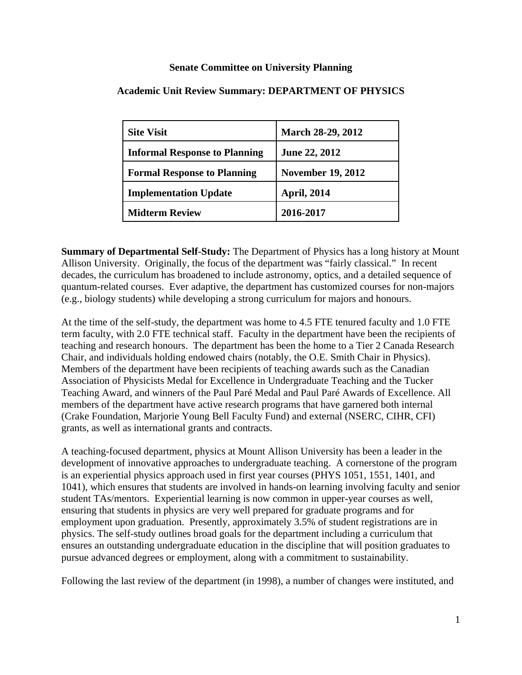## **Senate Committee on University Planning**

| <b>Site Visit</b>                    | <b>March 28-29, 2012</b> |
|--------------------------------------|--------------------------|
| <b>Informal Response to Planning</b> | <b>June 22, 2012</b>     |
| <b>Formal Response to Planning</b>   | <b>November 19, 2012</b> |
| <b>Implementation Update</b>         | <b>April, 2014</b>       |
| <b>Midterm Review</b>                | 2016-2017                |

## **Academic Unit Review Summary: DEPARTMENT OF PHYSICS**

**Summary of Departmental Self-Study:** The Department of Physics has a long history at Mount Allison University. Originally, the focus of the department was "fairly classical." In recent decades, the curriculum has broadened to include astronomy, optics, and a detailed sequence of quantum-related courses. Ever adaptive, the department has customized courses for non-majors (e.g., biology students) while developing a strong curriculum for majors and honours.

At the time of the self-study, the department was home to 4.5 FTE tenured faculty and 1.0 FTE term faculty, with 2.0 FTE technical staff. Faculty in the department have been the recipients of teaching and research honours. The department has been the home to a Tier 2 Canada Research Chair, and individuals holding endowed chairs (notably, the O.E. Smith Chair in Physics). Members of the department have been recipients of teaching awards such as the Canadian Association of Physicists Medal for Excellence in Undergraduate Teaching and the Tucker Teaching Award, and winners of the Paul Paré Medal and Paul Paré Awards of Excellence. All members of the department have active research programs that have garnered both internal (Crake Foundation, Marjorie Young Bell Faculty Fund) and external (NSERC, CIHR, CFI) grants, as well as international grants and contracts.

A teaching-focused department, physics at Mount Allison University has been a leader in the development of innovative approaches to undergraduate teaching. A cornerstone of the program is an experiential physics approach used in first year courses (PHYS 1051, 1551, 1401, and 1041), which ensures that students are involved in hands-on learning involving faculty and senior student TAs/mentors. Experiential learning is now common in upper-year courses as well, ensuring that students in physics are very well prepared for graduate programs and for employment upon graduation. Presently, approximately 3.5% of student registrations are in physics. The self-study outlines broad goals for the department including a curriculum that ensures an outstanding undergraduate education in the discipline that will position graduates to pursue advanced degrees or employment, along with a commitment to sustainability.

Following the last review of the department (in 1998), a number of changes were instituted, and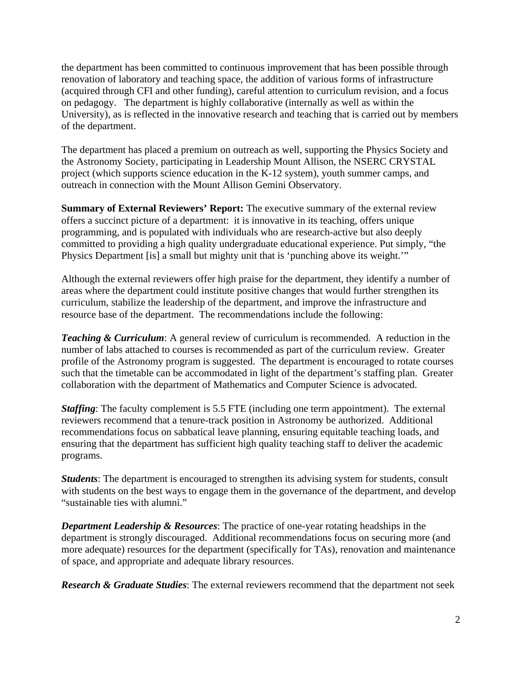the department has been committed to continuous improvement that has been possible through renovation of laboratory and teaching space, the addition of various forms of infrastructure (acquired through CFI and other funding), careful attention to curriculum revision, and a focus on pedagogy. The department is highly collaborative (internally as well as within the University), as is reflected in the innovative research and teaching that is carried out by members of the department.

The department has placed a premium on outreach as well, supporting the Physics Society and the Astronomy Society, participating in Leadership Mount Allison, the NSERC CRYSTAL project (which supports science education in the K-12 system), youth summer camps, and outreach in connection with the Mount Allison Gemini Observatory.

**Summary of External Reviewers' Report:** The executive summary of the external review offers a succinct picture of a department: it is innovative in its teaching, offers unique programming, and is populated with individuals who are research-active but also deeply committed to providing a high quality undergraduate educational experience. Put simply, "the Physics Department [is] a small but mighty unit that is 'punching above its weight.'"

Although the external reviewers offer high praise for the department, they identify a number of areas where the department could institute positive changes that would further strengthen its curriculum, stabilize the leadership of the department, and improve the infrastructure and resource base of the department. The recommendations include the following:

*Teaching & Curriculum:* A general review of curriculum is recommended. A reduction in the number of labs attached to courses is recommended as part of the curriculum review. Greater profile of the Astronomy program is suggested. The department is encouraged to rotate courses such that the timetable can be accommodated in light of the department's staffing plan. Greater collaboration with the department of Mathematics and Computer Science is advocated.

*Staffing*: The faculty complement is 5.5 FTE (including one term appointment). The external reviewers recommend that a tenure-track position in Astronomy be authorized. Additional recommendations focus on sabbatical leave planning, ensuring equitable teaching loads, and ensuring that the department has sufficient high quality teaching staff to deliver the academic programs.

*Students*: The department is encouraged to strengthen its advising system for students, consult with students on the best ways to engage them in the governance of the department, and develop "sustainable ties with alumni."

*Department Leadership & Resources*: The practice of one-year rotating headships in the department is strongly discouraged. Additional recommendations focus on securing more (and more adequate) resources for the department (specifically for TAs), renovation and maintenance of space, and appropriate and adequate library resources.

*Research & Graduate Studies*: The external reviewers recommend that the department not seek